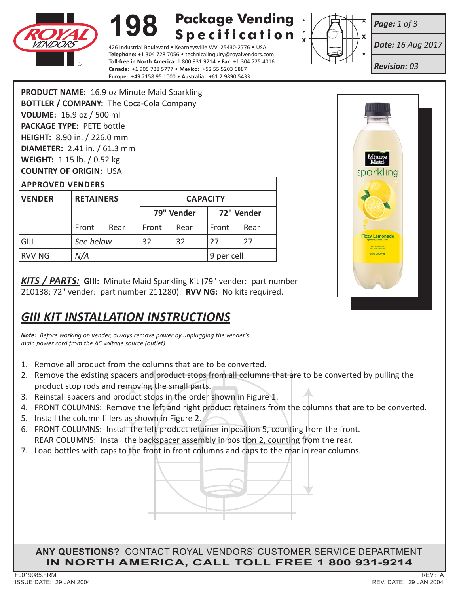

### **198 Package Vending Specification**

426 Industrial Boulevard • Kearneysville WV 25430-2776 • USA **Telephone:** +1 304 728 7056 • technicalinquiry@royalvendors.com **Toll-free in North America:** 1 800 931 9214 • **Fax:** +1 304 725 4016 **Canada:** +1 905 738 5777 • **Mexico:** +52 55 5203 6887 **Europe:** +49 2158 95 1000 • **Australia:** +61 2 9890 5433



*Date: 16 Aug 2017*

*Revision: 03*

*Page: 1 of 3*

**PRODUCT NAME:** 16.9 oz Minute Maid Sparkling **BOTTLER / COMPANY:** The Coca-Cola Company **VOLUME:** 16.9 oz / 500 ml **PACKAGE TYPE:** PETE bottle **HEIGHT:** 8.90 in. / 226.0 mm **DIAMETER:** 2.41 in. / 61.3 mm **WEIGHT:** 1.15 lb. / 0.52 kg **COUNTRY OF ORIGIN:** USA

| <b>APPROVED VENDERS</b> |                  |  |                 |      |            |      |
|-------------------------|------------------|--|-----------------|------|------------|------|
| <b>VENDER</b>           | <b>RETAINERS</b> |  | <b>CAPACITY</b> |      |            |      |
|                         |                  |  | 79" Vender      |      | 72" Vender |      |
|                         | Rear<br>Front    |  | Front           | Rear | Front      | Rear |
| GIII                    | See below        |  | 32              | 32   | 27         | 27   |
| <b>RVV NG</b>           | N/A              |  |                 |      | 9 per cell |      |

*KITS / PARTS:* **GIII:** Minute Maid Sparkling Kit (79" vender: part number 210138; 72" vender: part number 211280). **RVV NG:** No kits required.

# *GIII KIT INSTALLATION INSTRUCTIONS*

*Note: Before working on vender, always remove power by unplugging the vender's main power cord from the AC voltage source (outlet).*

- 1. Remove all product from the columns that are to be converted.
- 2. Remove the existing spacers and product stops from all columns that are to be converted by pulling the product stop rods and removing the small parts.
- 3. Reinstall spacers and product stops in the order shown in Figure 1.
- 4. FRONT COLUMNS: Remove the left and right product retainers from the columns that are to be converted.
- 5. Install the column fillers as shown in Figure 2.
- REAR COLUMNS: Install the backspacer assembly in position 2, counting from the rear. 6. FRONT COLUMNS: Install the left product retainer in position 5, counting from the front.
- 7. Load bottles with caps to the front in front columns and caps to the rear in rear columns.



**ANY QUESTIONS?** CONTACT ROYAL VENDORS' CUSTOMER SERVICE DEPARTMENT **IN NORTH AMERICA, CALL TOLL FREE 1 800 931-9214**



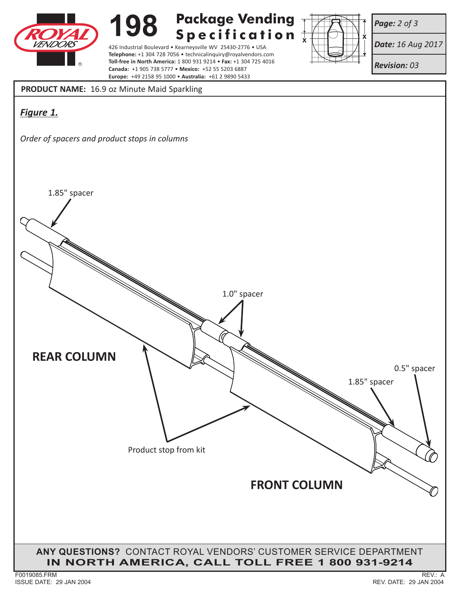

## **198 Package Vending**

426 Industrial Boulevard • Kearneysville WV 25430-2776 • USA **Telephone:** +1 304 728 7056 • technicalinquiry@royalvendors.com **Toll-free in North America:** 1 800 931 9214 • **Fax:** +1 304 725 4016 **Canada:** +1 905 738 5777 • **Mexico:** +52 55 5203 6887 **Europe:** +49 2158 95 1000 • **Australia:** +61 2 9890 5433



*Page: 2 of 3*

*Date: 16 Aug 2017*

*Revision: 03*

**PRODUCT NAME:** 16.9 oz Minute Maid Sparkling

## *Figure 1.*

*Order of spacers and product stops in columns*